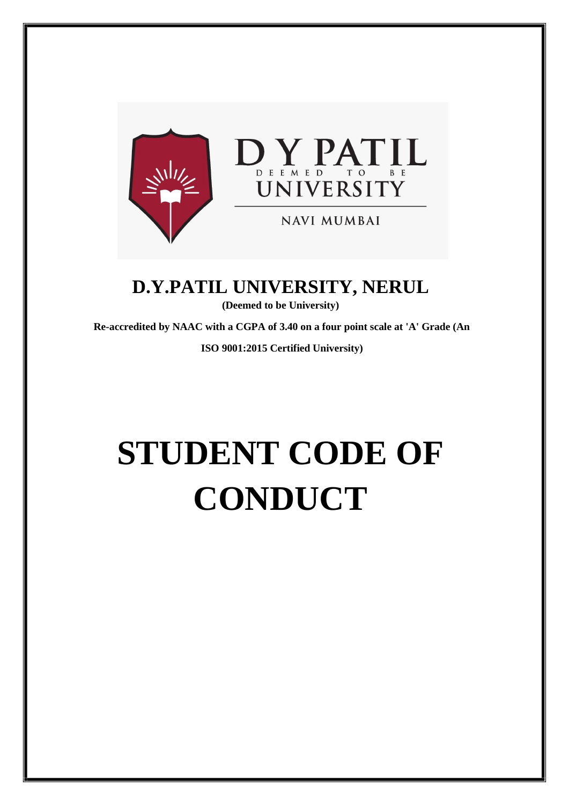

**D.Y.PATIL UNIVERSITY, NERUL** 

**(Deemed to be University)** 

**Re-accredited by NAAC with a CGPA of 3.40 on a four point scale at 'A' Grade (An** 

**ISO 9001:2015 Certified University)** 

# **STUDENT CODE OF CONDUCT**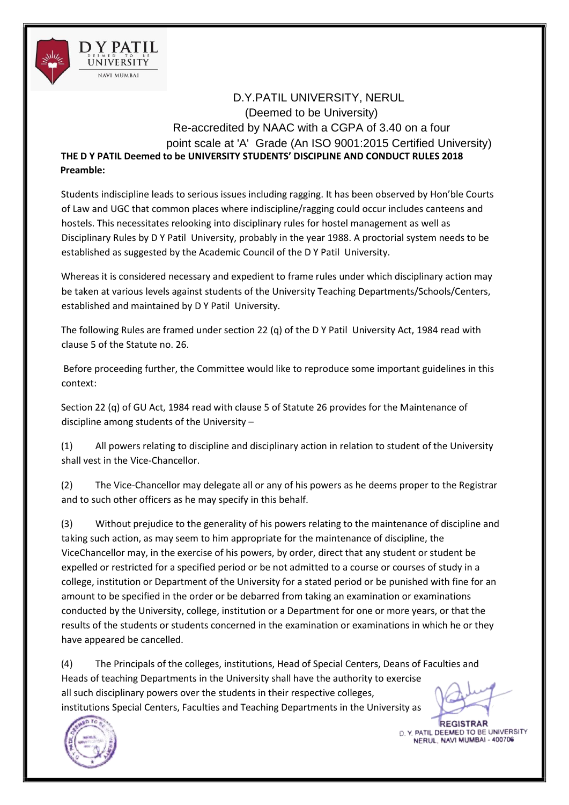

D.Y.PATIL UNIVERSITY, NERUL (Deemed to be University) Re-accredited by NAAC with a CGPA of 3.40 on a four point scale at 'A' Grade (An ISO 9001:2015 Certified University) **THE D Y PATIL Deemed to be UNIVERSITY STUDENTS' DISCIPLINE AND CONDUCT RULES 2018 Preamble:** 

Students indiscipline leads to serious issues including ragging. It has been observed by Hon'ble Courts of Law and UGC that common places where indiscipline/ragging could occur includes canteens and hostels. This necessitates relooking into disciplinary rules for hostel management as well as Disciplinary Rules by D Y Patil University, probably in the year 1988. A proctorial system needs to be established as suggested by the Academic Council of the D Y Patil University.

Whereas it is considered necessary and expedient to frame rules under which disciplinary action may be taken at various levels against students of the University Teaching Departments/Schools/Centers, established and maintained by D Y Patil University.

The following Rules are framed under section 22 (q) of the D Y Patil University Act, 1984 read with clause 5 of the Statute no. 26.

Before proceeding further, the Committee would like to reproduce some important guidelines in this context:

Section 22 (q) of GU Act, 1984 read with clause 5 of Statute 26 provides for the Maintenance of discipline among students of the University –

(1) All powers relating to discipline and disciplinary action in relation to student of the University shall vest in the Vice-Chancellor.

(2) The Vice-Chancellor may delegate all or any of his powers as he deems proper to the Registrar and to such other officers as he may specify in this behalf.

(3) Without prejudice to the generality of his powers relating to the maintenance of discipline and taking such action, as may seem to him appropriate for the maintenance of discipline, the ViceChancellor may, in the exercise of his powers, by order, direct that any student or student be expelled or restricted for a specified period or be not admitted to a course or courses of study in a college, institution or Department of the University for a stated period or be punished with fine for an amount to be specified in the order or be debarred from taking an examination or examinations conducted by the University, college, institution or a Department for one or more years, or that the results of the students or students concerned in the examination or examinations in which he or they have appeared be cancelled.

(4) The Principals of the colleges, institutions, Head of Special Centers, Deans of Faculties and Heads of teaching Departments in the University shall have the authority to exercise all such disciplinary powers over the students in their respective colleges, institutions Special Centers, Faculties and Teaching Departments in the University as



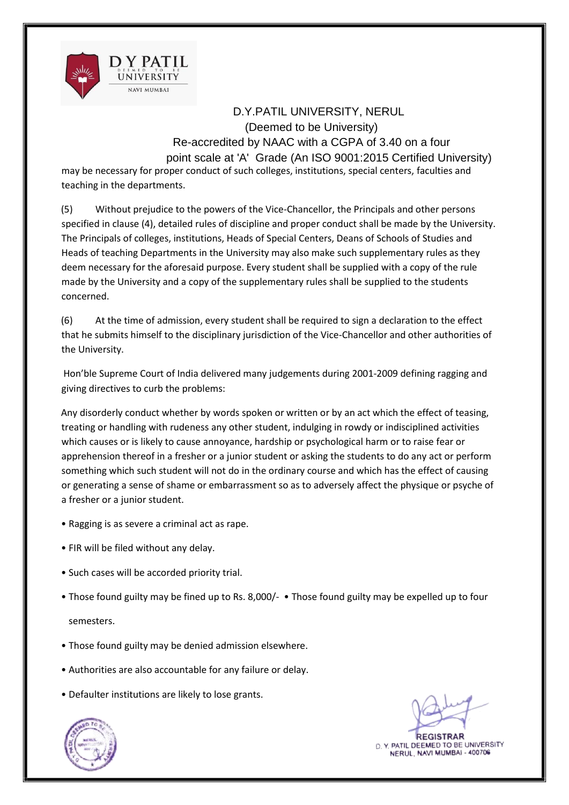

may be necessary for proper conduct of such colleges, institutions, special centers, faculties and teaching in the departments.

(5) Without prejudice to the powers of the Vice-Chancellor, the Principals and other persons specified in clause (4), detailed rules of discipline and proper conduct shall be made by the University. The Principals of colleges, institutions, Heads of Special Centers, Deans of Schools of Studies and Heads of teaching Departments in the University may also make such supplementary rules as they deem necessary for the aforesaid purpose. Every student shall be supplied with a copy of the rule made by the University and a copy of the supplementary rules shall be supplied to the students concerned.

(6) At the time of admission, every student shall be required to sign a declaration to the effect that he submits himself to the disciplinary jurisdiction of the Vice-Chancellor and other authorities of the University.

Hon'ble Supreme Court of India delivered many judgements during 2001-2009 defining ragging and giving directives to curb the problems:

Any disorderly conduct whether by words spoken or written or by an act which the effect of teasing, treating or handling with rudeness any other student, indulging in rowdy or indisciplined activities which causes or is likely to cause annoyance, hardship or psychological harm or to raise fear or apprehension thereof in a fresher or a junior student or asking the students to do any act or perform something which such student will not do in the ordinary course and which has the effect of causing or generating a sense of shame or embarrassment so as to adversely affect the physique or psyche of a fresher or a junior student.

- Ragging is as severe a criminal act as rape.
- FIR will be filed without any delay.
- Such cases will be accorded priority trial.
- Those found guilty may be fined up to Rs. 8,000/- Those found guilty may be expelled up to four semesters.
	-
- Those found guilty may be denied admission elsewhere.
- Authorities are also accountable for any failure or delay.
- Defaulter institutions are likely to lose grants.



**REGISTRAR** D. Y. PATIL DEEMED TO BE UNIVERSITY<br>NERUL, NAVI MUMBAI - 400706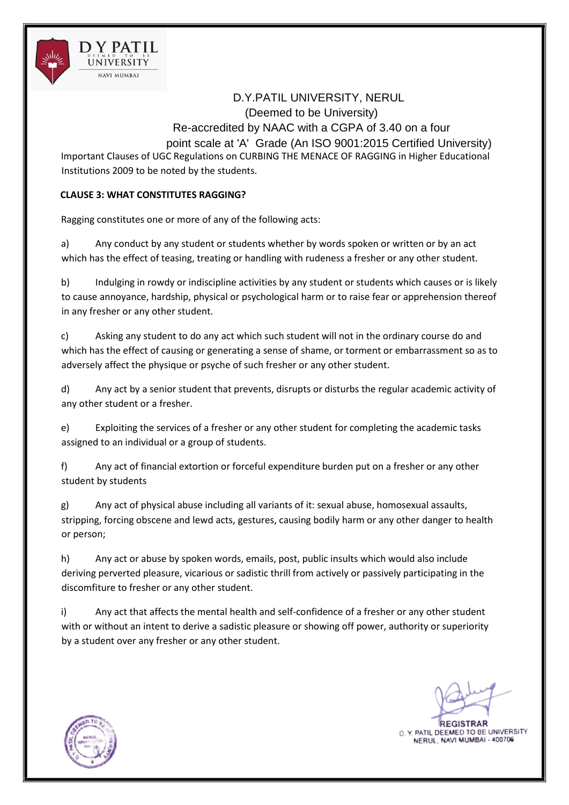

Important Clauses of UGC Regulations on CURBING THE MENACE OF RAGGING in Higher Educational Institutions 2009 to be noted by the students.

## **CLAUSE 3: WHAT CONSTITUTES RAGGING?**

Ragging constitutes one or more of any of the following acts:

a) Any conduct by any student or students whether by words spoken or written or by an act which has the effect of teasing, treating or handling with rudeness a fresher or any other student.

b) Indulging in rowdy or indiscipline activities by any student or students which causes or is likely to cause annoyance, hardship, physical or psychological harm or to raise fear or apprehension thereof in any fresher or any other student.

c) Asking any student to do any act which such student will not in the ordinary course do and which has the effect of causing or generating a sense of shame, or torment or embarrassment so as to adversely affect the physique or psyche of such fresher or any other student.

d) Any act by a senior student that prevents, disrupts or disturbs the regular academic activity of any other student or a fresher.

e) Exploiting the services of a fresher or any other student for completing the academic tasks assigned to an individual or a group of students.

f) Any act of financial extortion or forceful expenditure burden put on a fresher or any other student by students

g) Any act of physical abuse including all variants of it: sexual abuse, homosexual assaults, stripping, forcing obscene and lewd acts, gestures, causing bodily harm or any other danger to health or person;

h) Any act or abuse by spoken words, emails, post, public insults which would also include deriving perverted pleasure, vicarious or sadistic thrill from actively or passively participating in the discomfiture to fresher or any other student.

i) Any act that affects the mental health and self‐confidence of a fresher or any other student with or without an intent to derive a sadistic pleasure or showing off power, authority or superiority by a student over any fresher or any other student.

**REGISTRAR** 

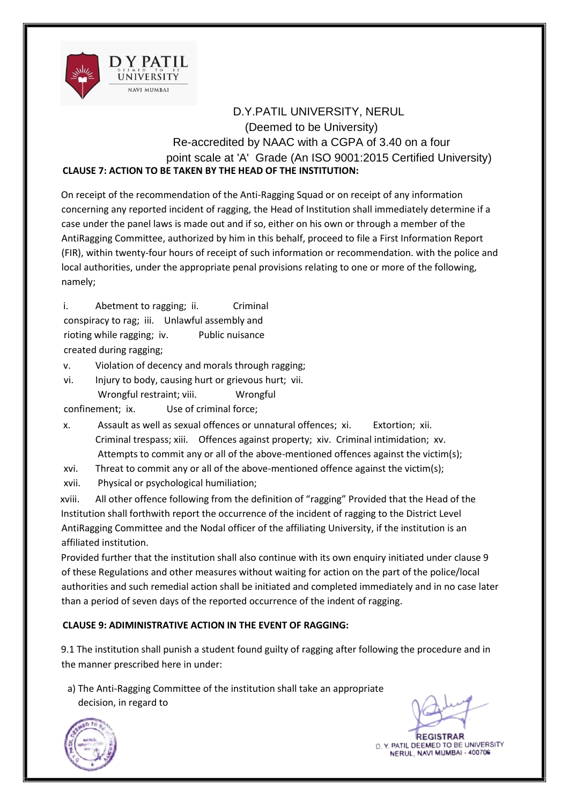

# D.Y.PATIL UNIVERSITY, NERUL (Deemed to be University) Re-accredited by NAAC with a CGPA of 3.40 on a four point scale at 'A' Grade (An ISO 9001:2015 Certified University) **CLAUSE 7: ACTION TO BE TAKEN BY THE HEAD OF THE INSTITUTION:**

On receipt of the recommendation of the Anti-Ragging Squad or on receipt of any information concerning any reported incident of ragging, the Head of Institution shall immediately determine if a case under the panel laws is made out and if so, either on his own or through a member of the AntiRagging Committee, authorized by him in this behalf, proceed to file a First Information Report (FIR), within twenty-four hours of receipt of such information or recommendation. with the police and local authorities, under the appropriate penal provisions relating to one or more of the following, namely;

i. Abetment to ragging; ii. Criminal conspiracy to rag; iii. Unlawful assembly and rioting while ragging; iv. Public nuisance created during ragging;

v. Violation of decency and morals through ragging;

vi. Injury to body, causing hurt or grievous hurt; vii. Wrongful restraint: viii. Wrongful

confinement; ix. Use of criminal force;

- x. Assault as well as sexual offences or unnatural offences; xi. Extortion; xii. Criminal trespass; xiii. Offences against property; xiv. Criminal intimidation; xv. Attempts to commit any or all of the above-mentioned offences against the victim(s);
- xvi. Threat to commit any or all of the above-mentioned offence against the victim(s);
- xvii. Physical or psychological humiliation;

xviii. All other offence following from the definition of "ragging" Provided that the Head of the Institution shall forthwith report the occurrence of the incident of ragging to the District Level AntiRagging Committee and the Nodal officer of the affiliating University, if the institution is an affiliated institution.

Provided further that the institution shall also continue with its own enquiry initiated under clause 9 of these Regulations and other measures without waiting for action on the part of the police/local authorities and such remedial action shall be initiated and completed immediately and in no case later than a period of seven days of the reported occurrence of the indent of ragging.

## **CLAUSE 9: ADIMINISTRATIVE ACTION IN THE EVENT OF RAGGING:**

9.1 The institution shall punish a student found guilty of ragging after following the procedure and in the manner prescribed here in under:

a) The Anti-Ragging Committee of the institution shall take an appropriate decision, in regard to

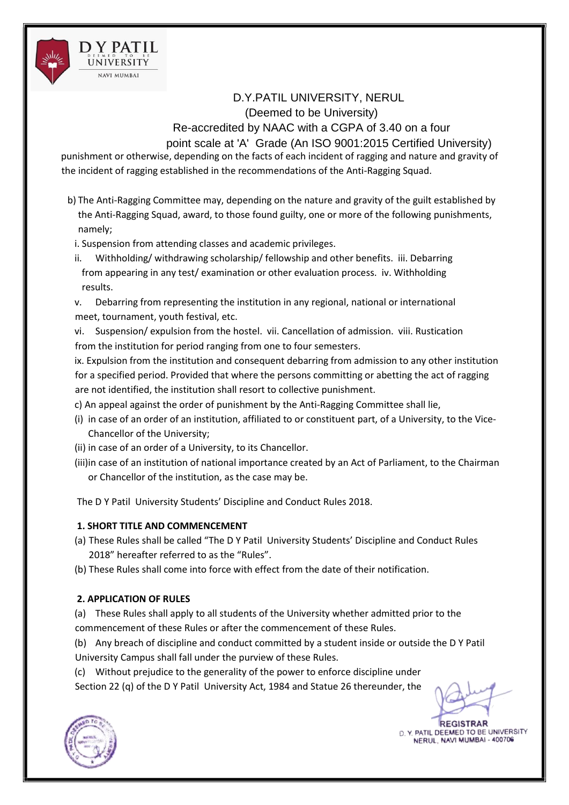

punishment or otherwise, depending on the facts of each incident of ragging and nature and gravity of the incident of ragging established in the recommendations of the Anti‐Ragging Squad.

- b) The Anti-Ragging Committee may, depending on the nature and gravity of the guilt established by the Anti‐Ragging Squad, award, to those found guilty, one or more of the following punishments, namely;
	- i. Suspension from attending classes and academic privileges.
	- ii. Withholding/ withdrawing scholarship/ fellowship and other benefits. iii. Debarring from appearing in any test/ examination or other evaluation process. iv. Withholding results.
	- v. Debarring from representing the institution in any regional, national or international meet, tournament, youth festival, etc.
	- vi. Suspension/ expulsion from the hostel. vii. Cancellation of admission. viii. Rustication from the institution for period ranging from one to four semesters.

ix. Expulsion from the institution and consequent debarring from admission to any other institution for a specified period. Provided that where the persons committing or abetting the act of ragging are not identified, the institution shall resort to collective punishment.

- c) An appeal against the order of punishment by the Anti‐Ragging Committee shall lie,
- (i) in case of an order of an institution, affiliated to or constituent part, of a University, to the Vice‐ Chancellor of the University;
- (ii) in case of an order of a University, to its Chancellor.
- (iii)in case of an institution of national importance created by an Act of Parliament, to the Chairman or Chancellor of the institution, as the case may be.

The D Y Patil University Students' Discipline and Conduct Rules 2018.

# **1. SHORT TITLE AND COMMENCEMENT**

- (a) These Rules shall be called "The D Y Patil University Students' Discipline and Conduct Rules 2018" hereafter referred to as the "Rules".
- (b) These Rules shall come into force with effect from the date of their notification.

# **2. APPLICATION OF RULES**

(a) These Rules shall apply to all students of the University whether admitted prior to the commencement of these Rules or after the commencement of these Rules.

(b) Any breach of discipline and conduct committed by a student inside or outside the D Y Patil University Campus shall fall under the purview of these Rules.

(c) Without prejudice to the generality of the power to enforce discipline under Section 22 (q) of the D Y Patil University Act, 1984 and Statue 26 thereunder, the

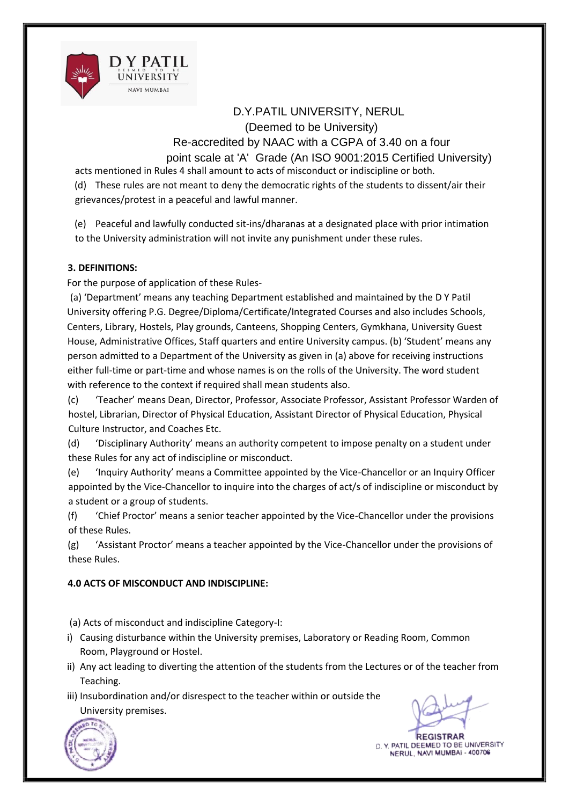

acts mentioned in Rules 4 shall amount to acts of misconduct or indiscipline or both. (d) These rules are not meant to deny the democratic rights of the students to dissent/air their

grievances/protest in a peaceful and lawful manner.

(e) Peaceful and lawfully conducted sit-ins/dharanas at a designated place with prior intimation to the University administration will not invite any punishment under these rules.

## **3. DEFINITIONS:**

For the purpose of application of these Rules-

(a) 'Department' means any teaching Department established and maintained by the D Y Patil University offering P.G. Degree/Diploma/Certificate/Integrated Courses and also includes Schools, Centers, Library, Hostels, Play grounds, Canteens, Shopping Centers, Gymkhana, University Guest House, Administrative Offices, Staff quarters and entire University campus. (b) 'Student' means any person admitted to a Department of the University as given in (a) above for receiving instructions either full-time or part-time and whose names is on the rolls of the University. The word student with reference to the context if required shall mean students also.

(c) 'Teacher' means Dean, Director, Professor, Associate Professor, Assistant Professor Warden of hostel, Librarian, Director of Physical Education, Assistant Director of Physical Education, Physical Culture Instructor, and Coaches Etc.

(d) 'Disciplinary Authority' means an authority competent to impose penalty on a student under these Rules for any act of indiscipline or misconduct.

(e) 'Inquiry Authority' means a Committee appointed by the Vice-Chancellor or an Inquiry Officer appointed by the Vice-Chancellor to inquire into the charges of act/s of indiscipline or misconduct by a student or a group of students.

(f) 'Chief Proctor' means a senior teacher appointed by the Vice-Chancellor under the provisions of these Rules.

(g) 'Assistant Proctor' means a teacher appointed by the Vice-Chancellor under the provisions of these Rules.

## **4.0 ACTS OF MISCONDUCT AND INDISCIPLINE:**

(a) Acts of misconduct and indiscipline Category-I:

- i) Causing disturbance within the University premises, Laboratory or Reading Room, Common Room, Playground or Hostel.
- ii) Any act leading to diverting the attention of the students from the Lectures or of the teacher from Teaching.
- iii) Insubordination and/or disrespect to the teacher within or outside the University premises.

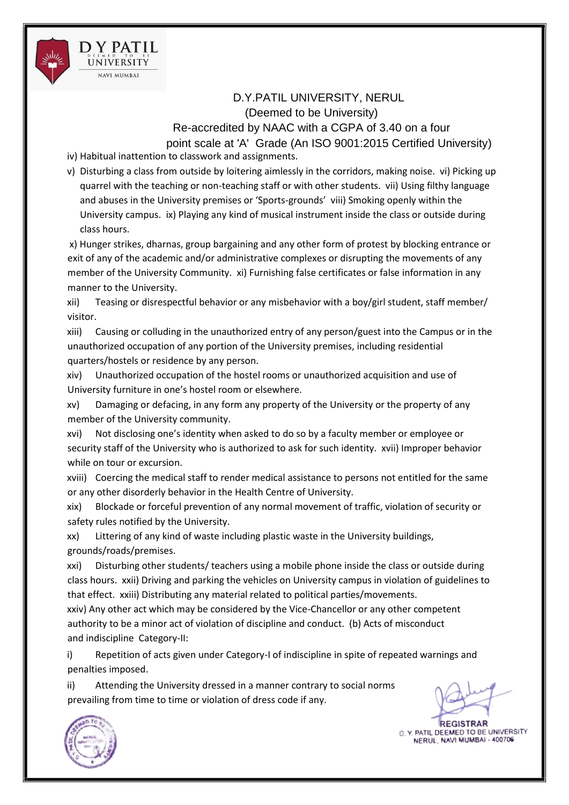

iv) Habitual inattention to classwork and assignments.

v) Disturbing a class from outside by loitering aimlessly in the corridors, making noise. vi) Picking up quarrel with the teaching or non-teaching staff or with other students. vii) Using filthy language and abuses in the University premises or 'Sports-grounds' viii) Smoking openly within the University campus. ix) Playing any kind of musical instrument inside the class or outside during class hours.

x) Hunger strikes, dharnas, group bargaining and any other form of protest by blocking entrance or exit of any of the academic and/or administrative complexes or disrupting the movements of any member of the University Community. xi) Furnishing false certificates or false information in any manner to the University.

xii) Teasing or disrespectful behavior or any misbehavior with a boy/girl student, staff member/ visitor.

xiii) Causing or colluding in the unauthorized entry of any person/guest into the Campus or in the unauthorized occupation of any portion of the University premises, including residential quarters/hostels or residence by any person.

xiv) Unauthorized occupation of the hostel rooms or unauthorized acquisition and use of University furniture in one's hostel room or elsewhere.

xv) Damaging or defacing, in any form any property of the University or the property of any member of the University community.

xvi) Not disclosing one's identity when asked to do so by a faculty member or employee or security staff of the University who is authorized to ask for such identity. xvii) Improper behavior while on tour or excursion.

xviii) Coercing the medical staff to render medical assistance to persons not entitled for the same or any other disorderly behavior in the Health Centre of University.

xix) Blockade or forceful prevention of any normal movement of traffic, violation of security or safety rules notified by the University.

xx) Littering of any kind of waste including plastic waste in the University buildings, grounds/roads/premises.

xxi) Disturbing other students/ teachers using a mobile phone inside the class or outside during class hours. xxii) Driving and parking the vehicles on University campus in violation of guidelines to that effect. xxiii) Distributing any material related to political parties/movements.

xxiv) Any other act which may be considered by the Vice-Chancellor or any other competent authority to be a minor act of violation of discipline and conduct. (b) Acts of misconduct and indiscipline Category-II:

i) Repetition of acts given under Category-I of indiscipline in spite of repeated warnings and penalties imposed.

ii) Attending the University dressed in a manner contrary to social norms prevailing from time to time or violation of dress code if any.

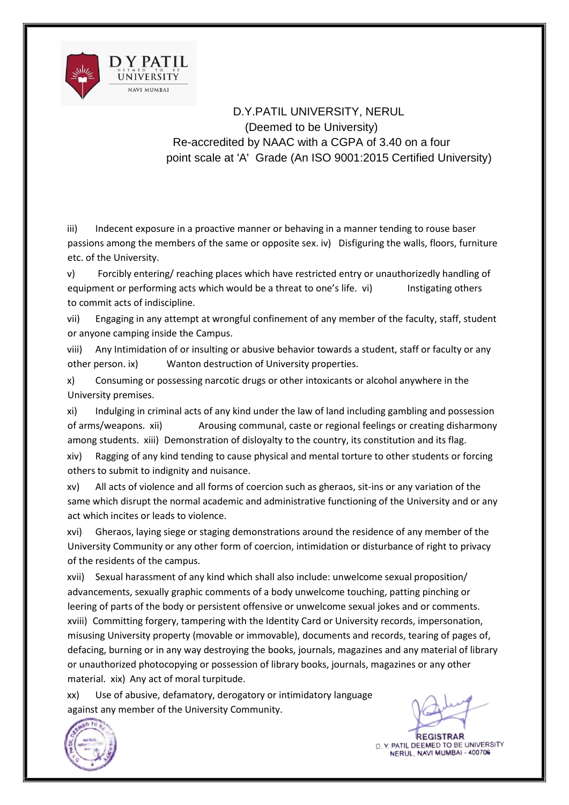

iii) Indecent exposure in a proactive manner or behaving in a manner tending to rouse baser passions among the members of the same or opposite sex. iv) Disfiguring the walls, floors, furniture etc. of the University.

v) Forcibly entering/ reaching places which have restricted entry or unauthorizedly handling of equipment or performing acts which would be a threat to one's life. vi) lnstigating others to commit acts of indiscipline.

vii) Engaging in any attempt at wrongful confinement of any member of the faculty, staff, student or anyone camping inside the Campus.

viii) Any Intimidation of or insulting or abusive behavior towards a student, staff or faculty or any other person. ix) Wanton destruction of University properties.

x) Consuming or possessing narcotic drugs or other intoxicants or alcohol anywhere in the University premises.

xi) Indulging in criminal acts of any kind under the law of land including gambling and possession of arms/weapons. xii) Arousing communal, caste or regional feelings or creating disharmony among students. xiii) Demonstration of disloyalty to the country, its constitution and its flag.

xiv) Ragging of any kind tending to cause physical and mental torture to other students or forcing others to submit to indignity and nuisance.

xv) All acts of violence and all forms of coercion such as gheraos, sit-ins or any variation of the same which disrupt the normal academic and administrative functioning of the University and or any act which incites or leads to violence.

xvi) Gheraos, laying siege or staging demonstrations around the residence of any member of the University Community or any other form of coercion, intimidation or disturbance of right to privacy of the residents of the campus.

xvii) Sexual harassment of any kind which shall also include: unwelcome sexual proposition/ advancements, sexually graphic comments of a body unwelcome touching, patting pinching or leering of parts of the body or persistent offensive or unwelcome sexual jokes and or comments. xviii) Committing forgery, tampering with the Identity Card or University records, impersonation, misusing University property (movable or immovable), documents and records, tearing of pages of, defacing, burning or in any way destroying the books, journals, magazines and any material of library or unauthorized photocopying or possession of library books, journals, magazines or any other material. xix) Any act of moral turpitude.

xx) Use of abusive, defamatory, derogatory or intimidatory language against any member of the University Community.



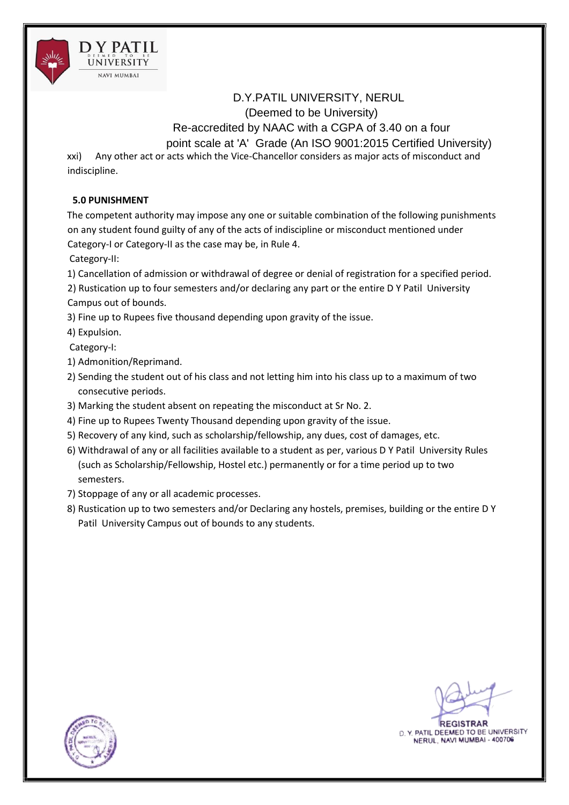

xxi) Any other act or acts which the Vice-Chancellor considers as major acts of misconduct and indiscipline.

#### **5.0 PUNISHMENT**

NAVI MUMBAI

The competent authority may impose any one or suitable combination of the following punishments on any student found guilty of any of the acts of indiscipline or misconduct mentioned under Category-I or Category-II as the case may be, in Rule 4.

Category-II:

1) Cancellation of admission or withdrawal of degree or denial of registration for a specified period.

2) Rustication up to four semesters and/or declaring any part or the entire D Y Patil University Campus out of bounds.

3) Fine up to Rupees five thousand depending upon gravity of the issue.

4) Expulsion.

Category-I:

- 1) Admonition/Reprimand.
- 2) Sending the student out of his class and not letting him into his class up to a maximum of two consecutive periods.
- 3) Marking the student absent on repeating the misconduct at Sr No. 2.
- 4) Fine up to Rupees Twenty Thousand depending upon gravity of the issue.
- 5) Recovery of any kind, such as scholarship/fellowship, any dues, cost of damages, etc.
- 6) Withdrawal of any or all facilities available to a student as per, various D Y Patil University Rules (such as Scholarship/Fellowship, Hostel etc.) permanently or for a time period up to two semesters.
- 7) Stoppage of any or all academic processes.
- 8) Rustication up to two semesters and/or Declaring any hostels, premises, building or the entire D Y Patil University Campus out of bounds to any students.

**REGISTRAR** 

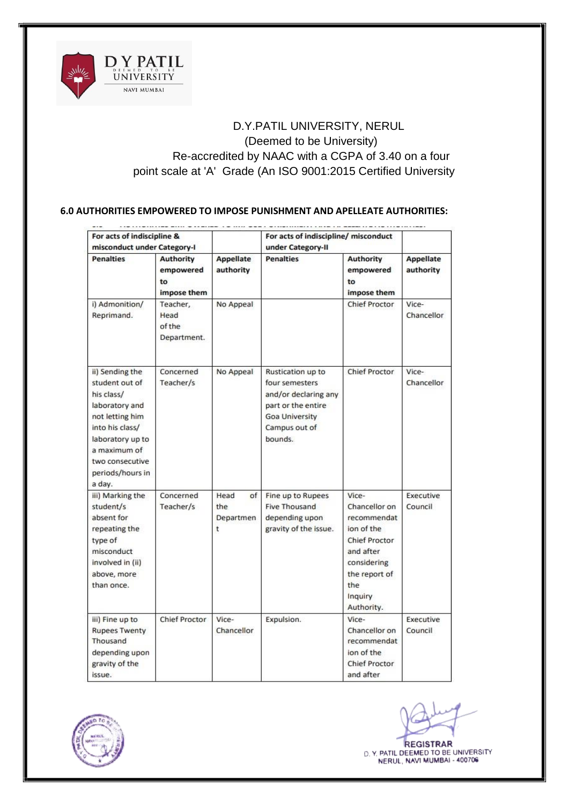

#### **6.0 AUTHORITIES EMPOWERED TO IMPOSE PUNISHMENT AND APELLEATE AUTHORITIES:**

| For acts of indiscipline &<br>misconduct under Category-I                                                                                                                                    |                                                    |                                     | For acts of indiscipline/ misconduct<br>under Category-II                                                                       |                                                                                                                                                   |                               |
|----------------------------------------------------------------------------------------------------------------------------------------------------------------------------------------------|----------------------------------------------------|-------------------------------------|---------------------------------------------------------------------------------------------------------------------------------|---------------------------------------------------------------------------------------------------------------------------------------------------|-------------------------------|
|                                                                                                                                                                                              |                                                    |                                     |                                                                                                                                 |                                                                                                                                                   |                               |
| <b>Penalties</b>                                                                                                                                                                             | <b>Authority</b><br>empowered<br>to<br>impose them | <b>Appellate</b><br>authority       | <b>Penalties</b>                                                                                                                | <b>Authority</b><br>empowered<br>to<br>impose them                                                                                                | <b>Appellate</b><br>authority |
| i) Admonition/<br>Reprimand.                                                                                                                                                                 | Teacher,<br>Head<br>of the<br>Department.          | No Appeal                           |                                                                                                                                 | <b>Chief Proctor</b>                                                                                                                              | Vice-<br>Chancellor           |
| ii) Sending the<br>student out of<br>his class/<br>laboratory and<br>not letting him<br>into his class/<br>laboratory up to<br>a maximum of<br>two consecutive<br>periods/hours in<br>a day. | Concerned<br>Teacher/s                             | No Appeal                           | Rustication up to<br>four semesters<br>and/or declaring any<br>part or the entire<br>Goa University<br>Campus out of<br>bounds. | <b>Chief Proctor</b>                                                                                                                              | Vice-<br>Chancellor           |
| iii) Marking the<br>student/s<br>absent for<br>repeating the<br>type of<br>misconduct<br>involved in (ii)<br>above, more<br>than once.                                                       | Concerned<br>Teacher/s                             | Head<br>of<br>the<br>Departmen<br>t | Fine up to Rupees<br><b>Five Thousand</b><br>depending upon<br>gravity of the issue.                                            | Vice-<br>Chancellor on<br>recommendat<br>ion of the<br>Chief Proctor<br>and after<br>considering<br>the report of<br>the<br>Inquiry<br>Authority. | Executive<br>Council          |
| iii) Fine up to<br><b>Rupees Twenty</b><br>Thousand<br>depending upon<br>gravity of the<br>issue.                                                                                            | Chief Proctor                                      | Vice-<br>Chancellor                 | Expulsion.                                                                                                                      | Vice-<br>Chancellor on<br>recommendat<br>ion of the<br><b>Chief Proctor</b><br>and after                                                          | Executive<br>Council          |

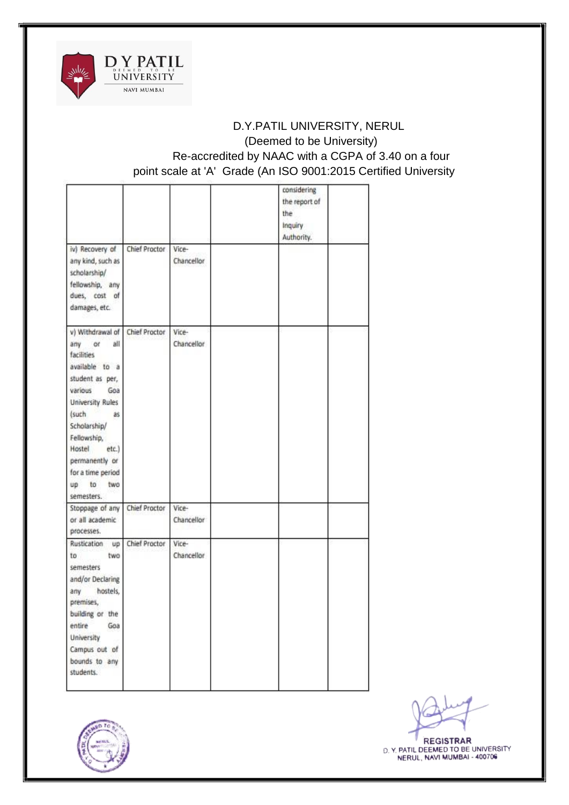

|                                                                                                                                                                                                                                                                            |               |                     | considering<br>the report of<br>the<br>Inquiry<br>Authority. |  |
|----------------------------------------------------------------------------------------------------------------------------------------------------------------------------------------------------------------------------------------------------------------------------|---------------|---------------------|--------------------------------------------------------------|--|
| iv) Recovery of<br>any kind, such as<br>scholarship/<br>fellowship, any<br>dues, cost of<br>damages, etc.                                                                                                                                                                  | Chief Proctor | Vice-<br>Chancellor |                                                              |  |
| v) Withdrawal of<br>all<br>any<br>or<br>facilities<br>available to a<br>student as per,<br>various<br>Goa<br><b>University Rules</b><br>(such<br>as<br>Scholarship/<br>Fellowship,<br>Hostel<br>etc.)<br>permanently or<br>for a time period<br>up to<br>two<br>semesters. | Chief Proctor | Vice-<br>Chancellor |                                                              |  |
| Stoppage of any<br>or all academic<br>processes.                                                                                                                                                                                                                           | Chief Proctor | Vice-<br>Chancellor |                                                              |  |
| Rustication<br>up <sup>-</sup><br>two<br>to<br>semesters<br>and/or Declaring<br>any<br>hostels.<br>premises,<br>building or the<br>entire<br>Goa<br>University<br>Campus out of<br>bounds to any<br>students.                                                              | Chief Proctor | Vice-<br>Chancellor |                                                              |  |

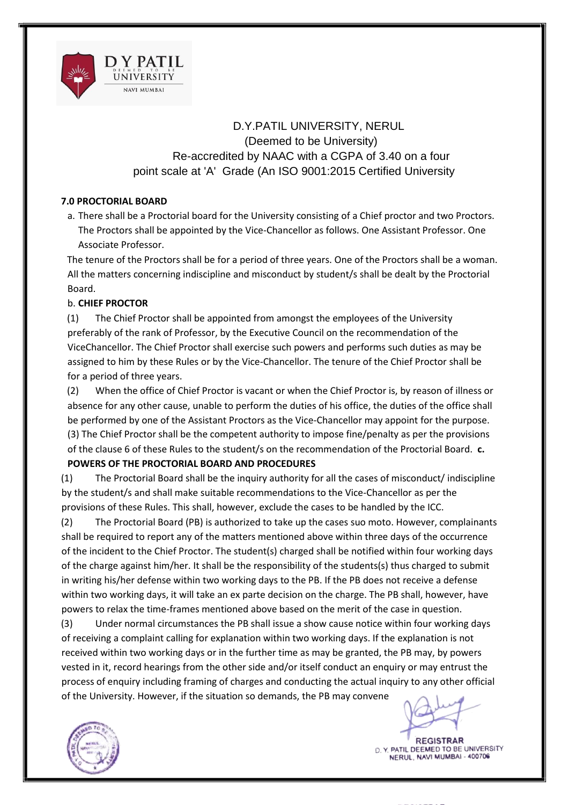

#### **7.0 PROCTORIAL BOARD**

a. There shall be a Proctorial board for the University consisting of a Chief proctor and two Proctors. The Proctors shall be appointed by the Vice-Chancellor as follows. One Assistant Professor. One Associate Professor.

The tenure of the Proctors shall be for a period of three years. One of the Proctors shall be a woman. All the matters concerning indiscipline and misconduct by student/s shall be dealt by the Proctorial Board.

#### b. **CHIEF PROCTOR**

(1) The Chief Proctor shall be appointed from amongst the employees of the University preferably of the rank of Professor, by the Executive Council on the recommendation of the ViceChancellor. The Chief Proctor shall exercise such powers and performs such duties as may be assigned to him by these Rules or by the Vice-Chancellor. The tenure of the Chief Proctor shall be for a period of three years.

(2) When the office of Chief Proctor is vacant or when the Chief Proctor is, by reason of illness or absence for any other cause, unable to perform the duties of his office, the duties of the office shall be performed by one of the Assistant Proctors as the Vice-Chancellor may appoint for the purpose. (3) The Chief Proctor shall be the competent authority to impose fine/penalty as per the provisions of the clause 6 of these Rules to the student/s on the recommendation of the Proctorial Board. **c.** 

## **POWERS OF THE PROCTORIAL BOARD AND PROCEDURES**

(1) The Proctorial Board shall be the inquiry authority for all the cases of misconduct/ indiscipline by the student/s and shall make suitable recommendations to the Vice-Chancellor as per the provisions of these Rules. This shall, however, exclude the cases to be handled by the ICC.

(2) The Proctorial Board (PB) is authorized to take up the cases suo moto. However, complainants shall be required to report any of the matters mentioned above within three days of the occurrence of the incident to the Chief Proctor. The student(s) charged shall be notified within four working days of the charge against him/her. It shall be the responsibility of the students(s) thus charged to submit in writing his/her defense within two working days to the PB. If the PB does not receive a defense within two working days, it will take an ex parte decision on the charge. The PB shall, however, have powers to relax the time-frames mentioned above based on the merit of the case in question.

(3) Under normal circumstances the PB shall issue a show cause notice within four working days of receiving a complaint calling for explanation within two working days. If the explanation is not received within two working days or in the further time as may be granted, the PB may, by powers vested in it, record hearings from the other side and/or itself conduct an enquiry or may entrust the process of enquiry including framing of charges and conducting the actual inquiry to any other official of the University. However, if the situation so demands, the PB may convene



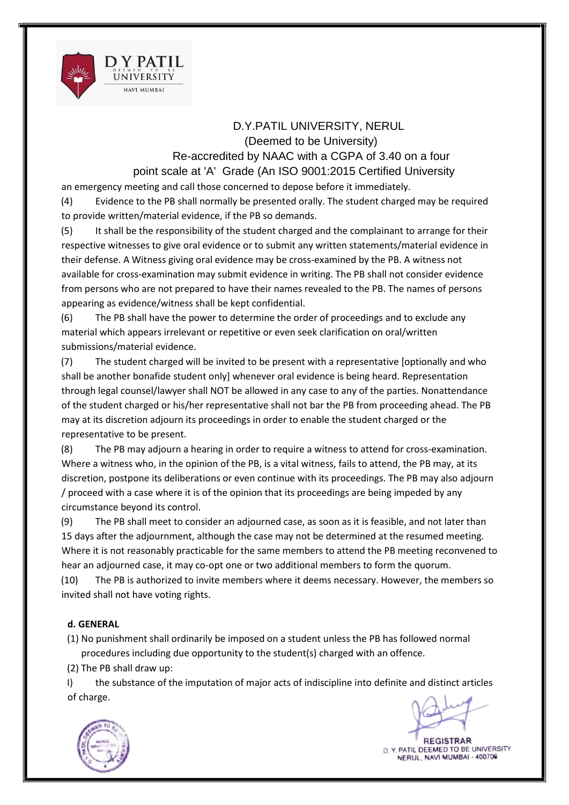

# D.Y.PATIL UNIVERSITY, NERUL

(Deemed to be University) Re-accredited by NAAC with a CGPA of 3.40 on a four point scale at 'A' Grade (An ISO 9001:2015 Certified University

an emergency meeting and call those concerned to depose before it immediately.

(4) Evidence to the PB shall normally be presented orally. The student charged may be required to provide written/material evidence, if the PB so demands.

(5) It shall be the responsibility of the student charged and the complainant to arrange for their respective witnesses to give oral evidence or to submit any written statements/material evidence in their defense. A Witness giving oral evidence may be cross-examined by the PB. A witness not available for cross-examination may submit evidence in writing. The PB shall not consider evidence from persons who are not prepared to have their names revealed to the PB. The names of persons appearing as evidence/witness shall be kept confidential.

(6) The PB shall have the power to determine the order of proceedings and to exclude any material which appears irrelevant or repetitive or even seek clarification on oral/written submissions/material evidence.

(7) The student charged will be invited to be present with a representative [optionally and who shall be another bonafide student only] whenever oral evidence is being heard. Representation through legal counsel/lawyer shall NOT be allowed in any case to any of the parties. Nonattendance of the student charged or his/her representative shall not bar the PB from proceeding ahead. The PB may at its discretion adjourn its proceedings in order to enable the student charged or the representative to be present.

(8) The PB may adjourn a hearing in order to require a witness to attend for cross-examination. Where a witness who, in the opinion of the PB, is a vital witness, fails to attend, the PB may, at its discretion, postpone its deliberations or even continue with its proceedings. The PB may also adjourn / proceed with a case where it is of the opinion that its proceedings are being impeded by any circumstance beyond its control.

(9) The PB shall meet to consider an adjourned case, as soon as it is feasible, and not later than 15 days after the adjournment, although the case may not be determined at the resumed meeting. Where it is not reasonably practicable for the same members to attend the PB meeting reconvened to hear an adjourned case, it may co-opt one or two additional members to form the quorum.

(10) The PB is authorized to invite members where it deems necessary. However, the members so invited shall not have voting rights.

## **d. GENERAL**

(1) No punishment shall ordinarily be imposed on a student unless the PB has followed normal procedures including due opportunity to the student(s) charged with an offence.

(2) The PB shall draw up:

I) the substance of the imputation of major acts of indiscipline into definite and distinct articles of charge.



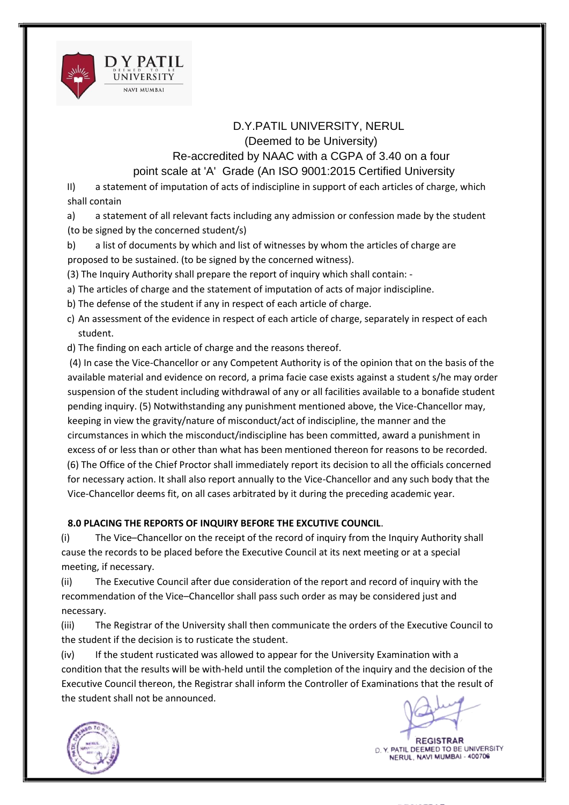

# D.Y.PATIL UNIVERSITY, NERUL

(Deemed to be University)

Re-accredited by NAAC with a CGPA of 3.40 on a four point scale at 'A' Grade (An ISO 9001:2015 Certified University

II) a statement of imputation of acts of indiscipline in support of each articles of charge, which shall contain

a) a statement of all relevant facts including any admission or confession made by the student (to be signed by the concerned student/s)

b) a list of documents by which and list of witnesses by whom the articles of charge are proposed to be sustained. (to be signed by the concerned witness).

(3) The Inquiry Authority shall prepare the report of inquiry which shall contain: -

a) The articles of charge and the statement of imputation of acts of major indiscipline.

b) The defense of the student if any in respect of each article of charge.

c) An assessment of the evidence in respect of each article of charge, separately in respect of each student.

d) The finding on each article of charge and the reasons thereof.

(4) In case the Vice-Chancellor or any Competent Authority is of the opinion that on the basis of the available material and evidence on record, a prima facie case exists against a student s/he may order suspension of the student including withdrawal of any or all facilities available to a bonafide student pending inquiry. (5) Notwithstanding any punishment mentioned above, the Vice-Chancellor may, keeping in view the gravity/nature of misconduct/act of indiscipline, the manner and the circumstances in which the misconduct/indiscipline has been committed, award a punishment in excess of or less than or other than what has been mentioned thereon for reasons to be recorded. (6) The Office of the Chief Proctor shall immediately report its decision to all the officials concerned for necessary action. It shall also report annually to the Vice-Chancellor and any such body that the Vice-Chancellor deems fit, on all cases arbitrated by it during the preceding academic year.

## **8.0 PLACING THE REPORTS OF INQUIRY BEFORE THE EXCUTIVE COUNCIL**.

(i) The Vice–Chancellor on the receipt of the record of inquiry from the Inquiry Authority shall cause the records to be placed before the Executive Council at its next meeting or at a special meeting, if necessary.

(ii) The Executive Council after due consideration of the report and record of inquiry with the recommendation of the Vice–Chancellor shall pass such order as may be considered just and necessary.

(iii) The Registrar of the University shall then communicate the orders of the Executive Council to the student if the decision is to rusticate the student.

(iv) If the student rusticated was allowed to appear for the University Examination with a condition that the results will be with-held until the completion of the inquiry and the decision of the Executive Council thereon, the Registrar shall inform the Controller of Examinations that the result of the student shall not be announced.